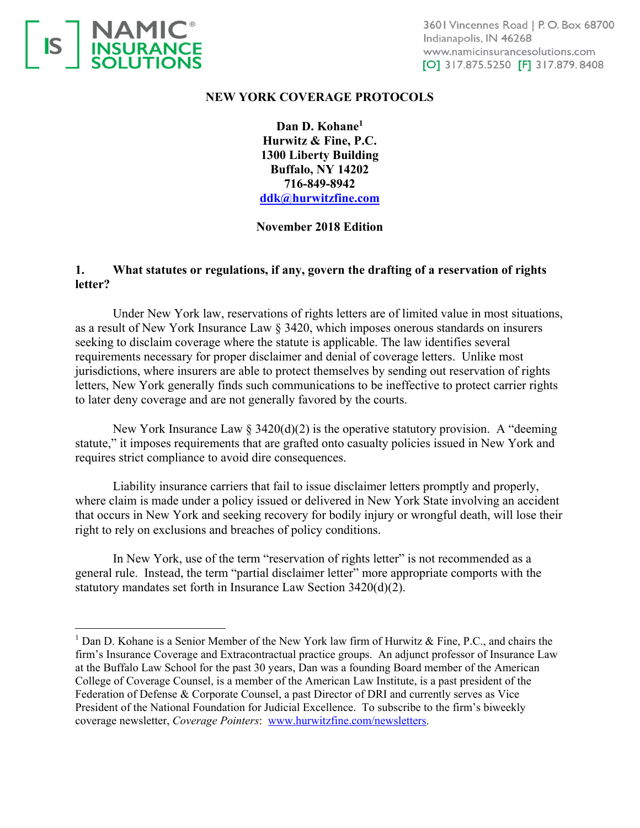

# **NEW YORK COVERAGE PROTOCOLS**

**Dan D. Kohane1 Hurwitz & Fine, P.C. 1300 Liberty Building Buffalo, NY 14202 716-849-8942 ddk@hurwitzfine.com**

# **November 2018 Edition**

# **1. What statutes or regulations, if any, govern the drafting of a reservation of rights letter?**

Under New York law, reservations of rights letters are of limited value in most situations, as a result of New York Insurance Law § 3420, which imposes onerous standards on insurers seeking to disclaim coverage where the statute is applicable. The law identifies several requirements necessary for proper disclaimer and denial of coverage letters. Unlike most jurisdictions, where insurers are able to protect themselves by sending out reservation of rights letters, New York generally finds such communications to be ineffective to protect carrier rights to later deny coverage and are not generally favored by the courts.

New York Insurance Law  $\S 3420(d)(2)$  is the operative statutory provision. A "deeming" statute," it imposes requirements that are grafted onto casualty policies issued in New York and requires strict compliance to avoid dire consequences.

 Liability insurance carriers that fail to issue disclaimer letters promptly and properly, where claim is made under a policy issued or delivered in New York State involving an accident that occurs in New York and seeking recovery for bodily injury or wrongful death, will lose their right to rely on exclusions and breaches of policy conditions.

In New York, use of the term "reservation of rights letter" is not recommended as a general rule. Instead, the term "partial disclaimer letter" more appropriate comports with the statutory mandates set forth in Insurance Law Section 3420(d)(2).

<sup>&</sup>lt;sup>1</sup> Dan D. Kohane is a Senior Member of the New York law firm of Hurwitz & Fine, P.C., and chairs the firm's Insurance Coverage and Extracontractual practice groups. An adjunct professor of Insurance Law at the Buffalo Law School for the past 30 years, Dan was a founding Board member of the American College of Coverage Counsel, is a member of the American Law Institute, is a past president of the Federation of Defense & Corporate Counsel, a past Director of DRI and currently serves as Vice President of the National Foundation for Judicial Excellence. To subscribe to the firm's biweekly coverage newsletter, *Coverage Pointers*: www.hurwitzfine.com/newsletters.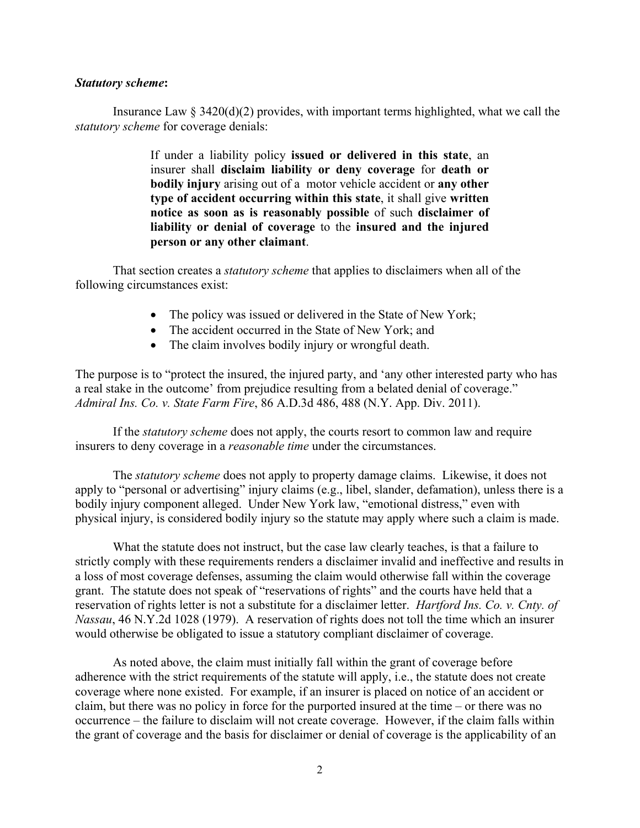#### *Statutory scheme***:**

Insurance Law  $\S 3420(d)(2)$  provides, with important terms highlighted, what we call the *statutory scheme* for coverage denials:

> If under a liability policy **issued or delivered in this state**, an insurer shall **disclaim liability or deny coverage** for **death or bodily injury** arising out of a motor vehicle accident or **any other type of accident occurring within this state**, it shall give **written notice as soon as is reasonably possible** of such **disclaimer of liability or denial of coverage** to the **insured and the injured person or any other claimant**.

That section creates a *statutory scheme* that applies to disclaimers when all of the following circumstances exist:

- The policy was issued or delivered in the State of New York;
- The accident occurred in the State of New York; and
- The claim involves bodily injury or wrongful death.

The purpose is to "protect the insured, the injured party, and 'any other interested party who has a real stake in the outcome' from prejudice resulting from a belated denial of coverage." *Admiral Ins. Co. v. State Farm Fire*, 86 A.D.3d 486, 488 (N.Y. App. Div. 2011).

If the *statutory scheme* does not apply, the courts resort to common law and require insurers to deny coverage in a *reasonable time* under the circumstances.

The *statutory scheme* does not apply to property damage claims. Likewise, it does not apply to "personal or advertising" injury claims (e.g., libel, slander, defamation), unless there is a bodily injury component alleged. Under New York law, "emotional distress," even with physical injury, is considered bodily injury so the statute may apply where such a claim is made.

What the statute does not instruct, but the case law clearly teaches, is that a failure to strictly comply with these requirements renders a disclaimer invalid and ineffective and results in a loss of most coverage defenses, assuming the claim would otherwise fall within the coverage grant. The statute does not speak of "reservations of rights" and the courts have held that a reservation of rights letter is not a substitute for a disclaimer letter. *Hartford Ins. Co. v. Cnty. of Nassau*, 46 N.Y.2d 1028 (1979). A reservation of rights does not toll the time which an insurer would otherwise be obligated to issue a statutory compliant disclaimer of coverage.

As noted above, the claim must initially fall within the grant of coverage before adherence with the strict requirements of the statute will apply, i.e., the statute does not create coverage where none existed. For example, if an insurer is placed on notice of an accident or claim, but there was no policy in force for the purported insured at the time – or there was no occurrence – the failure to disclaim will not create coverage. However, if the claim falls within the grant of coverage and the basis for disclaimer or denial of coverage is the applicability of an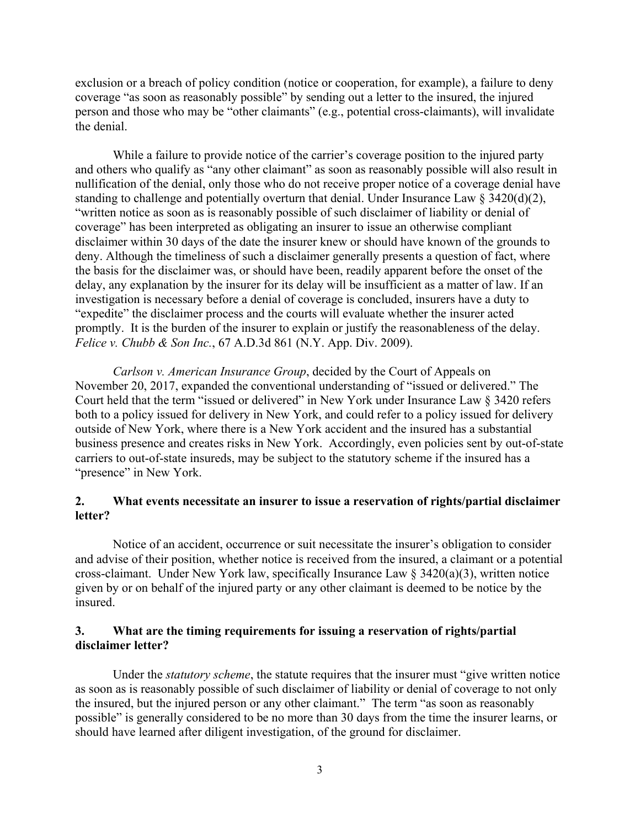exclusion or a breach of policy condition (notice or cooperation, for example), a failure to deny coverage "as soon as reasonably possible" by sending out a letter to the insured, the injured person and those who may be "other claimants" (e.g., potential cross-claimants), will invalidate the denial.

While a failure to provide notice of the carrier's coverage position to the injured party and others who qualify as "any other claimant" as soon as reasonably possible will also result in nullification of the denial, only those who do not receive proper notice of a coverage denial have standing to challenge and potentially overturn that denial. Under Insurance Law  $\S 3420(d)(2)$ , "written notice as soon as is reasonably possible of such disclaimer of liability or denial of coverage" has been interpreted as obligating an insurer to issue an otherwise compliant disclaimer within 30 days of the date the insurer knew or should have known of the grounds to deny. Although the timeliness of such a disclaimer generally presents a question of fact, where the basis for the disclaimer was, or should have been, readily apparent before the onset of the delay, any explanation by the insurer for its delay will be insufficient as a matter of law. If an investigation is necessary before a denial of coverage is concluded, insurers have a duty to "expedite" the disclaimer process and the courts will evaluate whether the insurer acted promptly. It is the burden of the insurer to explain or justify the reasonableness of the delay. *Felice v. Chubb & Son Inc.*, 67 A.D.3d 861 (N.Y. App. Div. 2009).

*Carlson v. American Insurance Group*, decided by the Court of Appeals on November 20, 2017, expanded the conventional understanding of "issued or delivered." The Court held that the term "issued or delivered" in New York under Insurance Law § 3420 refers both to a policy issued for delivery in New York, and could refer to a policy issued for delivery outside of New York, where there is a New York accident and the insured has a substantial business presence and creates risks in New York. Accordingly, even policies sent by out-of-state carriers to out-of-state insureds, may be subject to the statutory scheme if the insured has a "presence" in New York.

# **2. What events necessitate an insurer to issue a reservation of rights/partial disclaimer letter?**

Notice of an accident, occurrence or suit necessitate the insurer's obligation to consider and advise of their position, whether notice is received from the insured, a claimant or a potential cross-claimant. Under New York law, specifically Insurance Law § 3420(a)(3), written notice given by or on behalf of the injured party or any other claimant is deemed to be notice by the insured.

#### **3. What are the timing requirements for issuing a reservation of rights/partial disclaimer letter?**

Under the *statutory scheme*, the statute requires that the insurer must "give written notice as soon as is reasonably possible of such disclaimer of liability or denial of coverage to not only the insured, but the injured person or any other claimant." The term "as soon as reasonably possible" is generally considered to be no more than 30 days from the time the insurer learns, or should have learned after diligent investigation, of the ground for disclaimer.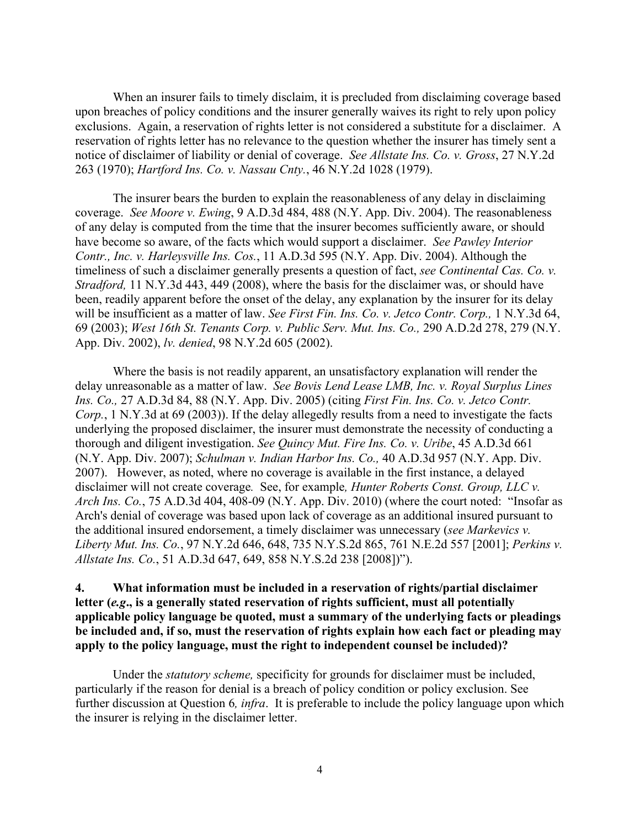When an insurer fails to timely disclaim, it is precluded from disclaiming coverage based upon breaches of policy conditions and the insurer generally waives its right to rely upon policy exclusions. Again, a reservation of rights letter is not considered a substitute for a disclaimer. A reservation of rights letter has no relevance to the question whether the insurer has timely sent a notice of disclaimer of liability or denial of coverage. *See Allstate Ins. Co. v. Gross*, 27 N.Y.2d 263 (1970); *Hartford Ins. Co. v. Nassau Cnty.*, 46 N.Y.2d 1028 (1979).

The insurer bears the burden to explain the reasonableness of any delay in disclaiming coverage. *See Moore v. Ewing*, 9 A.D.3d 484, 488 (N.Y. App. Div. 2004). The reasonableness of any delay is computed from the time that the insurer becomes sufficiently aware, or should have become so aware, of the facts which would support a disclaimer. *See Pawley Interior Contr., Inc. v. Harleysville Ins. Cos.*, 11 A.D.3d 595 (N.Y. App. Div. 2004). Although the timeliness of such a disclaimer generally presents a question of fact, *see Continental Cas. Co. v. Stradford,* 11 N.Y.3d 443, 449 (2008), where the basis for the disclaimer was, or should have been, readily apparent before the onset of the delay, any explanation by the insurer for its delay will be insufficient as a matter of law. *See First Fin. Ins. Co. v. Jetco Contr. Corp.,* 1 N.Y.3d 64, 69 (2003); *West 16th St. Tenants Corp. v. Public Serv. Mut. Ins. Co.,* 290 A.D.2d 278, 279 (N.Y. App. Div. 2002), *lv. denied*, 98 N.Y.2d 605 (2002).

Where the basis is not readily apparent, an unsatisfactory explanation will render the delay unreasonable as a matter of law. *See Bovis Lend Lease LMB, Inc. v. Royal Surplus Lines Ins. Co.,* 27 A.D.3d 84, 88 (N.Y. App. Div. 2005) (citing *First Fin. Ins. Co. v. Jetco Contr. Corp.*, 1 N.Y.3d at 69 (2003)). If the delay allegedly results from a need to investigate the facts underlying the proposed disclaimer, the insurer must demonstrate the necessity of conducting a thorough and diligent investigation. *See Quincy Mut. Fire Ins. Co. v. Uribe*, 45 A.D.3d 661 (N.Y. App. Div. 2007); *Schulman v. Indian Harbor Ins. Co.,* 40 A.D.3d 957 (N.Y. App. Div. 2007). However, as noted, where no coverage is available in the first instance, a delayed disclaimer will not create coverage*.* See, for example*, Hunter Roberts Const. Group, LLC v. Arch Ins. Co.*, 75 A.D.3d 404, 408-09 (N.Y. App. Div. 2010) (where the court noted: "Insofar as Arch's denial of coverage was based upon lack of coverage as an additional insured pursuant to the additional insured endorsement, a timely disclaimer was unnecessary (*see Markevics v. Liberty Mut. Ins. Co.*, 97 N.Y.2d 646, 648, 735 N.Y.S.2d 865, 761 N.E.2d 557 [2001]; *Perkins v. Allstate Ins. Co.*, 51 A.D.3d 647, 649, 858 N.Y.S.2d 238 [2008])").

# **4. What information must be included in a reservation of rights/partial disclaimer letter (***e.g***., is a generally stated reservation of rights sufficient, must all potentially applicable policy language be quoted, must a summary of the underlying facts or pleadings be included and, if so, must the reservation of rights explain how each fact or pleading may apply to the policy language, must the right to independent counsel be included)?**

Under the *statutory scheme,* specificity for grounds for disclaimer must be included, particularly if the reason for denial is a breach of policy condition or policy exclusion. See further discussion at Question 6*, infra*. It is preferable to include the policy language upon which the insurer is relying in the disclaimer letter.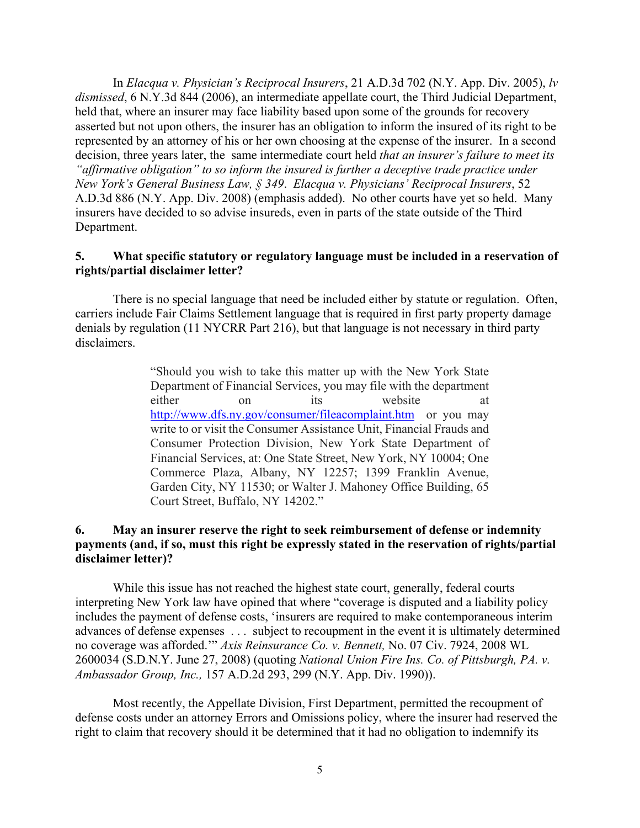In *Elacqua v. Physician's Reciprocal Insurers*, 21 A.D.3d 702 (N.Y. App. Div. 2005), *lv dismissed*, 6 N.Y.3d 844 (2006), an intermediate appellate court, the Third Judicial Department, held that, where an insurer may face liability based upon some of the grounds for recovery asserted but not upon others, the insurer has an obligation to inform the insured of its right to be represented by an attorney of his or her own choosing at the expense of the insurer. In a second decision, three years later, the same intermediate court held *that an insurer's failure to meet its "affirmative obligation" to so inform the insured is further a deceptive trade practice under New York's General Business Law, § 349*. *Elacqua v. Physicians' Reciprocal Insurers*, 52 A.D.3d 886 (N.Y. App. Div. 2008) (emphasis added). No other courts have yet so held. Many insurers have decided to so advise insureds, even in parts of the state outside of the Third Department.

### **5. What specific statutory or regulatory language must be included in a reservation of rights/partial disclaimer letter?**

There is no special language that need be included either by statute or regulation. Often, carriers include Fair Claims Settlement language that is required in first party property damage denials by regulation (11 NYCRR Part 216), but that language is not necessary in third party disclaimers.

> "Should you wish to take this matter up with the New York State Department of Financial Services, you may file with the department either on its website at http://www.dfs.ny.gov/consumer/fileacomplaint.htm or you may write to or visit the Consumer Assistance Unit, Financial Frauds and Consumer Protection Division, New York State Department of Financial Services, at: One State Street, New York, NY 10004; One Commerce Plaza, Albany, NY 12257; 1399 Franklin Avenue, Garden City, NY 11530; or Walter J. Mahoney Office Building, 65 Court Street, Buffalo, NY 14202."

# **6. May an insurer reserve the right to seek reimbursement of defense or indemnity payments (and, if so, must this right be expressly stated in the reservation of rights/partial disclaimer letter)?**

While this issue has not reached the highest state court, generally, federal courts interpreting New York law have opined that where "coverage is disputed and a liability policy includes the payment of defense costs, 'insurers are required to make contemporaneous interim advances of defense expenses . . . subject to recoupment in the event it is ultimately determined no coverage was afforded.'" *Axis Reinsurance Co. v. Bennett,* No. 07 Civ. 7924, 2008 WL 2600034 (S.D.N.Y. June 27, 2008) (quoting *National Union Fire Ins. Co. of Pittsburgh, PA. v. Ambassador Group, Inc.,* 157 A.D.2d 293, 299 (N.Y. App. Div. 1990)).

Most recently, the Appellate Division, First Department, permitted the recoupment of defense costs under an attorney Errors and Omissions policy, where the insurer had reserved the right to claim that recovery should it be determined that it had no obligation to indemnify its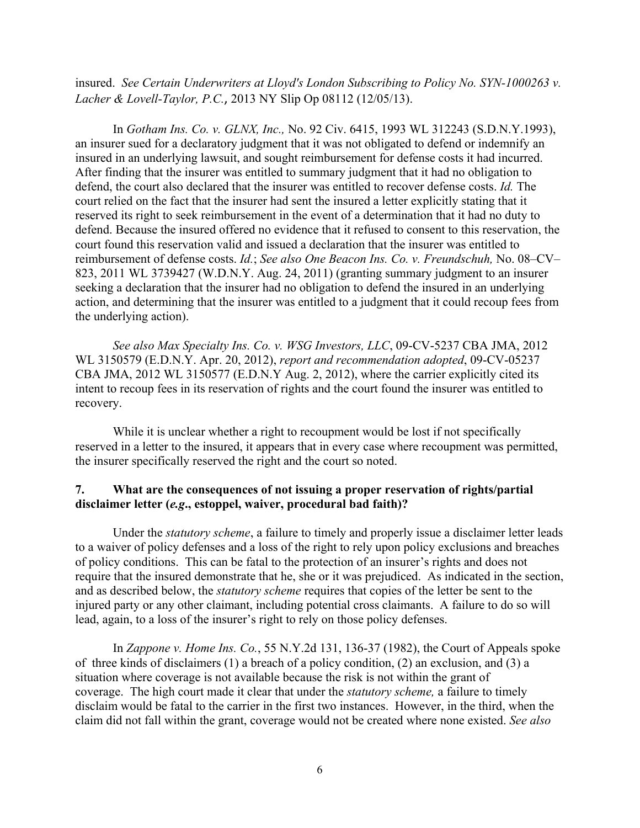insured. *See Certain Underwriters at Lloyd's London Subscribing to Policy No. SYN-1000263 v. Lacher & Lovell-Taylor, P.C.*, 2013 NY Slip Op 08112 (12/05/13).

In *Gotham Ins. Co. v. GLNX, Inc.,* No. 92 Civ. 6415, 1993 WL 312243 (S.D.N.Y.1993), an insurer sued for a declaratory judgment that it was not obligated to defend or indemnify an insured in an underlying lawsuit, and sought reimbursement for defense costs it had incurred. After finding that the insurer was entitled to summary judgment that it had no obligation to defend, the court also declared that the insurer was entitled to recover defense costs. *Id.* The court relied on the fact that the insurer had sent the insured a letter explicitly stating that it reserved its right to seek reimbursement in the event of a determination that it had no duty to defend. Because the insured offered no evidence that it refused to consent to this reservation, the court found this reservation valid and issued a declaration that the insurer was entitled to reimbursement of defense costs. *Id.*; *See also One Beacon Ins. Co. v. Freundschuh,* No. 08–CV– 823, 2011 WL 3739427 (W.D.N.Y. Aug. 24, 2011) (granting summary judgment to an insurer seeking a declaration that the insurer had no obligation to defend the insured in an underlying action, and determining that the insurer was entitled to a judgment that it could recoup fees from the underlying action).

*See also Max Specialty Ins. Co. v. WSG Investors, LLC*, 09-CV-5237 CBA JMA, 2012 WL 3150579 (E.D.N.Y. Apr. 20, 2012), *report and recommendation adopted*, 09-CV-05237 CBA JMA, 2012 WL 3150577 (E.D.N.Y Aug. 2, 2012), where the carrier explicitly cited its intent to recoup fees in its reservation of rights and the court found the insurer was entitled to recovery.

While it is unclear whether a right to recoupment would be lost if not specifically reserved in a letter to the insured, it appears that in every case where recoupment was permitted, the insurer specifically reserved the right and the court so noted.

# **7. What are the consequences of not issuing a proper reservation of rights/partial disclaimer letter (***e.g***., estoppel, waiver, procedural bad faith)?**

Under the *statutory scheme*, a failure to timely and properly issue a disclaimer letter leads to a waiver of policy defenses and a loss of the right to rely upon policy exclusions and breaches of policy conditions. This can be fatal to the protection of an insurer's rights and does not require that the insured demonstrate that he, she or it was prejudiced. As indicated in the section, and as described below, the *statutory scheme* requires that copies of the letter be sent to the injured party or any other claimant, including potential cross claimants. A failure to do so will lead, again, to a loss of the insurer's right to rely on those policy defenses.

In *Zappone v. Home Ins. Co.*, 55 N.Y.2d 131, 136-37 (1982), the Court of Appeals spoke of three kinds of disclaimers (1) a breach of a policy condition, (2) an exclusion, and (3) a situation where coverage is not available because the risk is not within the grant of coverage. The high court made it clear that under the *statutory scheme,* a failure to timely disclaim would be fatal to the carrier in the first two instances. However, in the third, when the claim did not fall within the grant, coverage would not be created where none existed. *See also*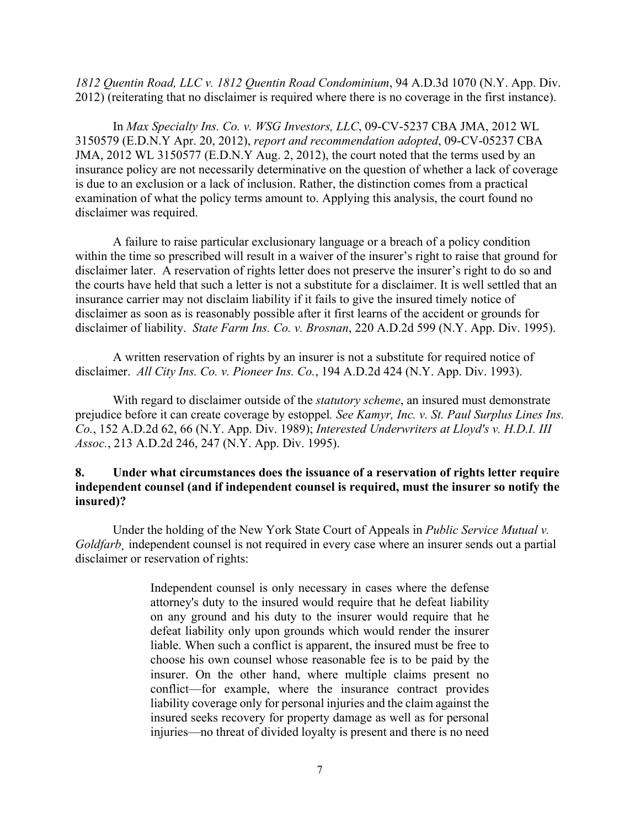*1812 Quentin Road, LLC v. 1812 Quentin Road Condominium*, 94 A.D.3d 1070 (N.Y. App. Div. 2012) (reiterating that no disclaimer is required where there is no coverage in the first instance).

In *Max Specialty Ins. Co. v. WSG Investors, LLC*, 09-CV-5237 CBA JMA, 2012 WL 3150579 (E.D.N.Y Apr. 20, 2012), *report and recommendation adopted*, 09-CV-05237 CBA JMA, 2012 WL 3150577 (E.D.N.Y Aug. 2, 2012), the court noted that the terms used by an insurance policy are not necessarily determinative on the question of whether a lack of coverage is due to an exclusion or a lack of inclusion. Rather, the distinction comes from a practical examination of what the policy terms amount to. Applying this analysis, the court found no disclaimer was required.

A failure to raise particular exclusionary language or a breach of a policy condition within the time so prescribed will result in a waiver of the insurer's right to raise that ground for disclaimer later. A reservation of rights letter does not preserve the insurer's right to do so and the courts have held that such a letter is not a substitute for a disclaimer. It is well settled that an insurance carrier may not disclaim liability if it fails to give the insured timely notice of disclaimer as soon as is reasonably possible after it first learns of the accident or grounds for disclaimer of liability. *State Farm Ins. Co. v. Brosnan*, 220 A.D.2d 599 (N.Y. App. Div. 1995).

A written reservation of rights by an insurer is not a substitute for required notice of disclaimer. *All City Ins. Co. v. Pioneer Ins. Co.*, 194 A.D.2d 424 (N.Y. App. Div. 1993).

With regard to disclaimer outside of the *statutory scheme*, an insured must demonstrate prejudice before it can create coverage by estoppel*. See Kamyr, Inc. v. St. Paul Surplus Lines Ins. Co.*, 152 A.D.2d 62, 66 (N.Y. App. Div. 1989); *Interested Underwriters at Lloyd's v. H.D.I. III Assoc.*, 213 A.D.2d 246, 247 (N.Y. App. Div. 1995).

### **8. Under what circumstances does the issuance of a reservation of rights letter require independent counsel (and if independent counsel is required, must the insurer so notify the insured)?**

Under the holding of the New York State Court of Appeals in *Public Service Mutual v. Goldfarb¸* independent counsel is not required in every case where an insurer sends out a partial disclaimer or reservation of rights:

> Independent counsel is only necessary in cases where the defense attorney's duty to the insured would require that he defeat liability on any ground and his duty to the insurer would require that he defeat liability only upon grounds which would render the insurer liable. When such a conflict is apparent, the insured must be free to choose his own counsel whose reasonable fee is to be paid by the insurer. On the other hand, where multiple claims present no conflict—for example, where the insurance contract provides liability coverage only for personal injuries and the claim against the insured seeks recovery for property damage as well as for personal injuries—no threat of divided loyalty is present and there is no need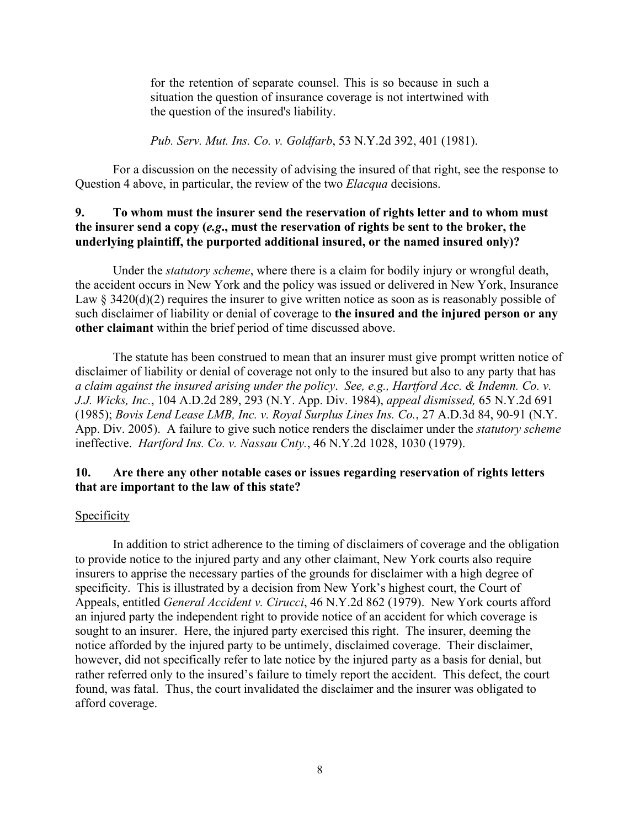for the retention of separate counsel. This is so because in such a situation the question of insurance coverage is not intertwined with the question of the insured's liability.

*Pub. Serv. Mut. Ins. Co. v. Goldfarb*, 53 N.Y.2d 392, 401 (1981).

For a discussion on the necessity of advising the insured of that right, see the response to Question 4 above, in particular, the review of the two *Elacqua* decisions.

# **9. To whom must the insurer send the reservation of rights letter and to whom must the insurer send a copy (***e.g***., must the reservation of rights be sent to the broker, the underlying plaintiff, the purported additional insured, or the named insured only)?**

 Under the *statutory scheme*, where there is a claim for bodily injury or wrongful death, the accident occurs in New York and the policy was issued or delivered in New York, Insurance Law  $\S$  3420(d)(2) requires the insurer to give written notice as soon as is reasonably possible of such disclaimer of liability or denial of coverage to **the insured and the injured person or any other claimant** within the brief period of time discussed above.

The statute has been construed to mean that an insurer must give prompt written notice of disclaimer of liability or denial of coverage not only to the insured but also to any party that has *a claim against the insured arising under the policy*. *See, e.g., Hartford Acc. & Indemn. Co. v. J.J. Wicks, Inc.*, 104 A.D.2d 289, 293 (N.Y. App. Div. 1984), *appeal dismissed,* 65 N.Y.2d 691 (1985); *Bovis Lend Lease LMB, Inc. v. Royal Surplus Lines Ins. Co.*, 27 A.D.3d 84, 90-91 (N.Y. App. Div. 2005). A failure to give such notice renders the disclaimer under the *statutory scheme* ineffective. *Hartford Ins. Co. v. Nassau Cnty.*, 46 N.Y.2d 1028, 1030 (1979).

#### **10. Are there any other notable cases or issues regarding reservation of rights letters that are important to the law of this state?**

#### **Specificity**

 In addition to strict adherence to the timing of disclaimers of coverage and the obligation to provide notice to the injured party and any other claimant, New York courts also require insurers to apprise the necessary parties of the grounds for disclaimer with a high degree of specificity. This is illustrated by a decision from New York's highest court, the Court of Appeals, entitled *General Accident v. Cirucci*, 46 N.Y.2d 862 (1979). New York courts afford an injured party the independent right to provide notice of an accident for which coverage is sought to an insurer. Here, the injured party exercised this right. The insurer, deeming the notice afforded by the injured party to be untimely, disclaimed coverage. Their disclaimer, however, did not specifically refer to late notice by the injured party as a basis for denial, but rather referred only to the insured's failure to timely report the accident. This defect, the court found, was fatal. Thus, the court invalidated the disclaimer and the insurer was obligated to afford coverage.